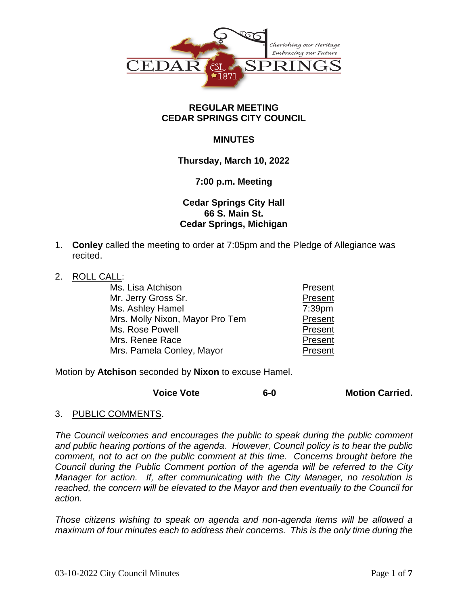

### **REGULAR MEETING CEDAR SPRINGS CITY COUNCIL**

## **MINUTES**

## **Thursday, March 10, 2022**

### **7:00 p.m. Meeting**

# **Cedar Springs City Hall 66 S. Main St. Cedar Springs, Michigan**

- 1. **Conley** called the meeting to order at 7:05pm and the Pledge of Allegiance was recited.
- 2. ROLL CALL:

| Ms. Lisa Atchison               | Present   |
|---------------------------------|-----------|
| Mr. Jerry Gross Sr.             | Present   |
| Ms. Ashley Hamel                | $7:39$ pm |
| Mrs. Molly Nixon, Mayor Pro Tem | Present   |
| Ms. Rose Powell                 | Present   |
| Mrs. Renee Race                 | Present   |
| Mrs. Pamela Conley, Mayor       | Present   |

Motion by **Atchison** seconded by **Nixon** to excuse Hamel.

| <b>Voice Vote</b> | $6-0$ | <b>Motion Carried.</b> |
|-------------------|-------|------------------------|
|-------------------|-------|------------------------|

3. PUBLIC COMMENTS.

*The Council welcomes and encourages the public to speak during the public comment and public hearing portions of the agenda. However, Council policy is to hear the public comment, not to act on the public comment at this time. Concerns brought before the Council during the Public Comment portion of the agenda will be referred to the City Manager for action. If, after communicating with the City Manager, no resolution is reached, the concern will be elevated to the Mayor and then eventually to the Council for action.*

*Those citizens wishing to speak on agenda and non-agenda items will be allowed a maximum of four minutes each to address their concerns. This is the only time during the*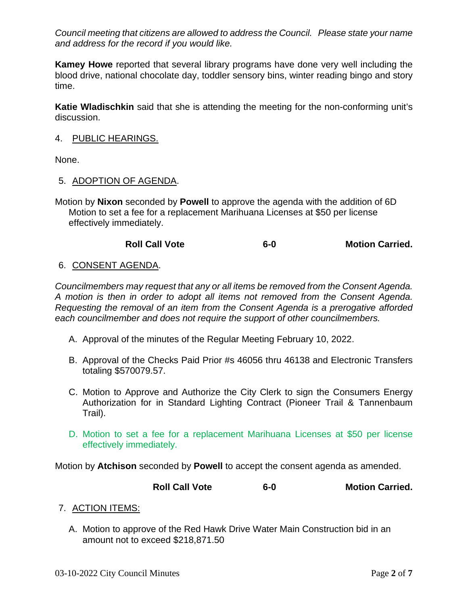*Council meeting that citizens are allowed to address the Council. Please state your name and address for the record if you would like.*

**Kamey Howe** reported that several library programs have done very well including the blood drive, national chocolate day, toddler sensory bins, winter reading bingo and story time.

**Katie Wladischkin** said that she is attending the meeting for the non-conforming unit's discussion.

### 4. PUBLIC HEARINGS.

None.

### 5. ADOPTION OF AGENDA.

Motion by **Nixon** seconded by **Powell** to approve the agenda with the addition of 6D Motion to set a fee for a replacement Marihuana Licenses at \$50 per license effectively immediately.

# **Roll Call Vote 6-0 Motion Carried.**

## 6. CONSENT AGENDA.

*Councilmembers may request that any or all items be removed from the Consent Agenda. A motion is then in order to adopt all items not removed from the Consent Agenda. Requesting the removal of an item from the Consent Agenda is a prerogative afforded each councilmember and does not require the support of other councilmembers.*

- A. Approval of the minutes of the Regular Meeting February 10, 2022.
- B. Approval of the Checks Paid Prior #s 46056 thru 46138 and Electronic Transfers totaling \$570079.57.
- C. Motion to Approve and Authorize the City Clerk to sign the Consumers Energy Authorization for in Standard Lighting Contract (Pioneer Trail & Tannenbaum Trail).
- D. Motion to set a fee for a replacement Marihuana Licenses at \$50 per license effectively immediately.

Motion by **Atchison** seconded by **Powell** to accept the consent agenda as amended.

**Roll Call Vote 6-0 Motion Carried.**

# 7. ACTION ITEMS:

A. Motion to approve of the Red Hawk Drive Water Main Construction bid in an amount not to exceed \$218,871.50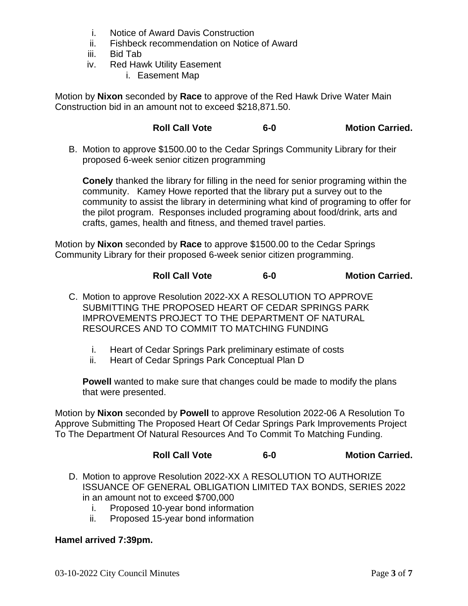- i. Notice of Award Davis Construction
- ii. Fishbeck recommendation on Notice of Award
- iii. Bid Tab
- iv. Red Hawk Utility Easement
	- i. Easement Map

Motion by **Nixon** seconded by **Race** to approve of the Red Hawk Drive Water Main Construction bid in an amount not to exceed \$218,871.50.

**Roll Call Vote 6-0 Motion Carried.**

B. Motion to approve \$1500.00 to the Cedar Springs Community Library for their proposed 6-week senior citizen programming

**Conely** thanked the library for filling in the need for senior programing within the community. Kamey Howe reported that the library put a survey out to the community to assist the library in determining what kind of programing to offer for the pilot program. Responses included programing about food/drink, arts and crafts, games, health and fitness, and themed travel parties.

Motion by **Nixon** seconded by **Race** to approve \$1500.00 to the Cedar Springs Community Library for their proposed 6-week senior citizen programming.

**Roll Call Vote 6-0 Motion Carried.**

- C. Motion to approve Resolution 2022-XX A RESOLUTION TO APPROVE SUBMITTING THE PROPOSED HEART OF CEDAR SPRINGS PARK IMPROVEMENTS PROJECT TO THE DEPARTMENT OF NATURAL RESOURCES AND TO COMMIT TO MATCHING FUNDING
	- i. Heart of Cedar Springs Park preliminary estimate of costs
	- ii. Heart of Cedar Springs Park Conceptual Plan D

**Powell** wanted to make sure that changes could be made to modify the plans that were presented.

Motion by **Nixon** seconded by **Powell** to approve Resolution 2022-06 A Resolution To Approve Submitting The Proposed Heart Of Cedar Springs Park Improvements Project To The Department Of Natural Resources And To Commit To Matching Funding.

### **Roll Call Vote 6-0 Motion Carried.**

- D. Motion to approve Resolution 2022-XX A RESOLUTION TO AUTHORIZE ISSUANCE OF GENERAL OBLIGATION LIMITED TAX BONDS, SERIES 2022 in an amount not to exceed \$700,000
	- i. Proposed 10-year bond information
	- ii. Proposed 15-year bond information

### **Hamel arrived 7:39pm.**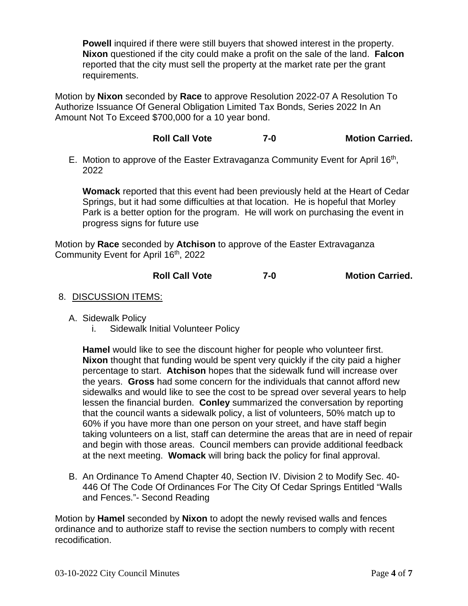**Powell** inquired if there were still buyers that showed interest in the property. **Nixon** questioned if the city could make a profit on the sale of the land. **Falcon** reported that the city must sell the property at the market rate per the grant requirements.

Motion by **Nixon** seconded by **Race** to approve Resolution 2022-07 A Resolution To Authorize Issuance Of General Obligation Limited Tax Bonds, Series 2022 In An Amount Not To Exceed \$700,000 for a 10 year bond.

# **Roll Call Vote 7-0 Motion Carried.**

E. Motion to approve of the Easter Extravaganza Community Event for April 16<sup>th</sup>, 2022

**Womack** reported that this event had been previously held at the Heart of Cedar Springs, but it had some difficulties at that location. He is hopeful that Morley Park is a better option for the program. He will work on purchasing the event in progress signs for future use

Motion by **Race** seconded by **Atchison** to approve of the Easter Extravaganza Community Event for April 16<sup>th</sup>, 2022

## **Roll Call Vote 7-0 Motion Carried.**

### 8. DISCUSSION ITEMS:

- A. Sidewalk Policy
	- i. Sidewalk Initial Volunteer Policy

**Hamel** would like to see the discount higher for people who volunteer first. **Nixon** thought that funding would be spent very quickly if the city paid a higher percentage to start. **Atchison** hopes that the sidewalk fund will increase over the years. **Gross** had some concern for the individuals that cannot afford new sidewalks and would like to see the cost to be spread over several years to help lessen the financial burden. **Conley** summarized the conversation by reporting that the council wants a sidewalk policy, a list of volunteers, 50% match up to 60% if you have more than one person on your street, and have staff begin taking volunteers on a list, staff can determine the areas that are in need of repair and begin with those areas. Council members can provide additional feedback at the next meeting. **Womack** will bring back the policy for final approval.

B. An Ordinance To Amend Chapter 40, Section IV. Division 2 to Modify Sec. 40- 446 Of The Code Of Ordinances For The City Of Cedar Springs Entitled "Walls and Fences."- Second Reading

Motion by **Hamel** seconded by **Nixon** to adopt the newly revised walls and fences ordinance and to authorize staff to revise the section numbers to comply with recent recodification.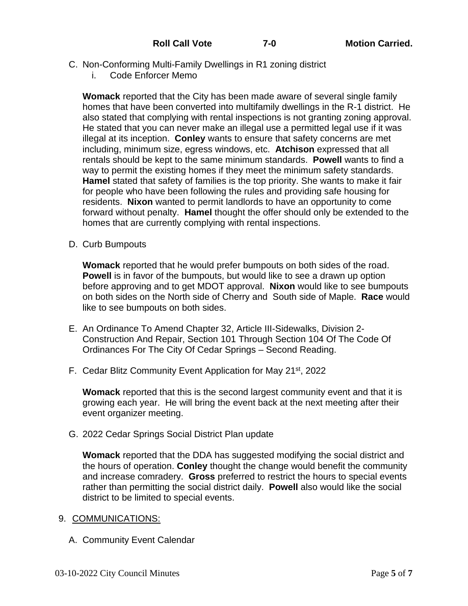- C. Non-Conforming Multi-Family Dwellings in R1 zoning district
	- i. Code Enforcer Memo

**Womack** reported that the City has been made aware of several single family homes that have been converted into multifamily dwellings in the R-1 district. He also stated that complying with rental inspections is not granting zoning approval. He stated that you can never make an illegal use a permitted legal use if it was illegal at its inception. **Conley** wants to ensure that safety concerns are met including, minimum size, egress windows, etc. **Atchison** expressed that all rentals should be kept to the same minimum standards. **Powell** wants to find a way to permit the existing homes if they meet the minimum safety standards. **Hamel** stated that safety of families is the top priority. She wants to make it fair for people who have been following the rules and providing safe housing for residents. **Nixon** wanted to permit landlords to have an opportunity to come forward without penalty. **Hamel** thought the offer should only be extended to the homes that are currently complying with rental inspections.

D. Curb Bumpouts

**Womack** reported that he would prefer bumpouts on both sides of the road. **Powell** is in favor of the bumpouts, but would like to see a drawn up option before approving and to get MDOT approval. **Nixon** would like to see bumpouts on both sides on the North side of Cherry and South side of Maple. **Race** would like to see bumpouts on both sides.

- E. An Ordinance To Amend Chapter 32, Article III-Sidewalks, Division 2- Construction And Repair, Section 101 Through Section 104 Of The Code Of Ordinances For The City Of Cedar Springs – Second Reading.
- F. Cedar Blitz Community Event Application for May 21<sup>st</sup>, 2022

**Womack** reported that this is the second largest community event and that it is growing each year. He will bring the event back at the next meeting after their event organizer meeting.

G. 2022 Cedar Springs Social District Plan update

**Womack** reported that the DDA has suggested modifying the social district and the hours of operation. **Conley** thought the change would benefit the community and increase comradery. **Gross** preferred to restrict the hours to special events rather than permitting the social district daily. **Powell** also would like the social district to be limited to special events.

- 9. COMMUNICATIONS:
	- A. Community Event Calendar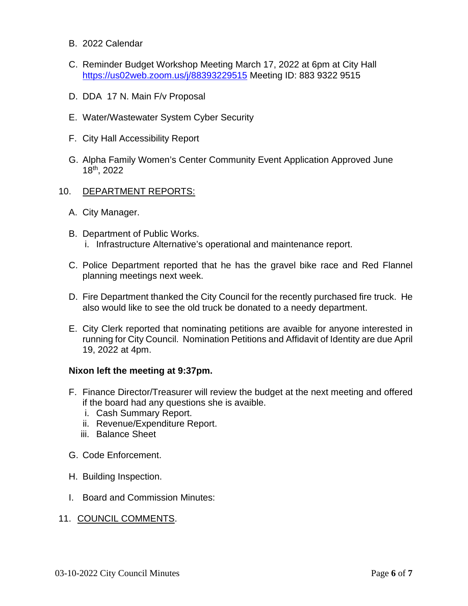- B. 2022 Calendar
- C. Reminder Budget Workshop Meeting March 17, 2022 at 6pm at City Hall <https://us02web.zoom.us/j/88393229515> Meeting ID: 883 9322 9515
- D. DDA 17 N. Main F/v Proposal
- E. Water/Wastewater System Cyber Security
- F. City Hall Accessibility Report
- G. Alpha Family Women's Center Community Event Application Approved June 18th, 2022
- 10. DEPARTMENT REPORTS:
	- A. City Manager.
	- B. Department of Public Works. i. Infrastructure Alternative's operational and maintenance report.
	- C. Police Department reported that he has the gravel bike race and Red Flannel planning meetings next week.
	- D. Fire Department thanked the City Council for the recently purchased fire truck. He also would like to see the old truck be donated to a needy department.
	- E. City Clerk reported that nominating petitions are avaible for anyone interested in running for City Council. Nomination Petitions and Affidavit of Identity are due April 19, 2022 at 4pm.

#### **Nixon left the meeting at 9:37pm.**

- F. Finance Director/Treasurer will review the budget at the next meeting and offered if the board had any questions she is avaible.
	- i. Cash Summary Report.
	- ii. Revenue/Expenditure Report.
	- iii. Balance Sheet
- G. Code Enforcement.
- H. Building Inspection.
- I. Board and Commission Minutes:
- 11. COUNCIL COMMENTS.